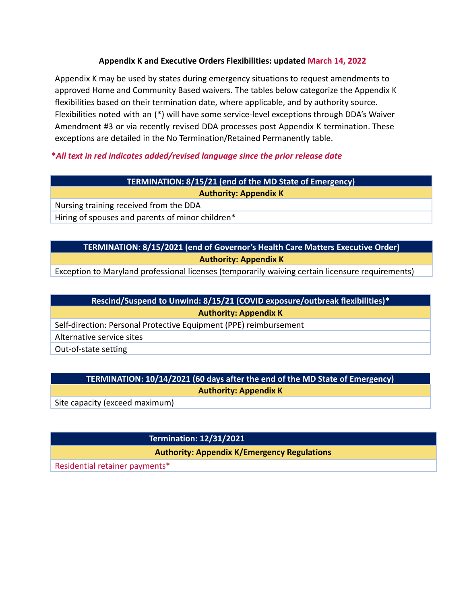#### **Appendix K and Executive Orders Flexibilities: updated March 14, 2022**

Appendix K may be used by states during emergency situations to request amendments to approved Home and Community Based waivers. The tables below categorize the Appendix K flexibilities based on their termination date, where applicable, and by authority source. Flexibilities noted with an (\*) will have some service-level exceptions through DDA's Waiver Amendment #3 or via recently revised DDA processes post Appendix K termination. These exceptions are detailed in the No Termination/Retained Permanently table.

## **\****All text in red indicates added/revised language since the prior release date*

### **TERMINATION: 8/15/21 (end of the MD State of Emergency)**

**Authority: Appendix K**

Nursing training received from the DDA

Hiring of spouses and parents of minor children\*

## **TERMINATION: 8/15/2021 (end of Governor's Health Care Matters Executive Order) Authority: Appendix K**

Exception to Maryland professional licenses (temporarily waiving certain licensure requirements)

**Rescind/Suspend to Unwind: 8/15/21 (COVID exposure/outbreak flexibilities)\* Authority: Appendix K**

Self-direction: Personal Protective Equipment (PPE) reimbursement

Alternative service sites

Out-of-state setting

# **TERMINATION: 10/14/2021 (60 days after the end of the MD State of Emergency)**

**Authority: Appendix K**

Site capacity (exceed maximum)

**Termination: 12/31/2021**

**Authority: Appendix K/Emergency Regulations**

Residential retainer payments\*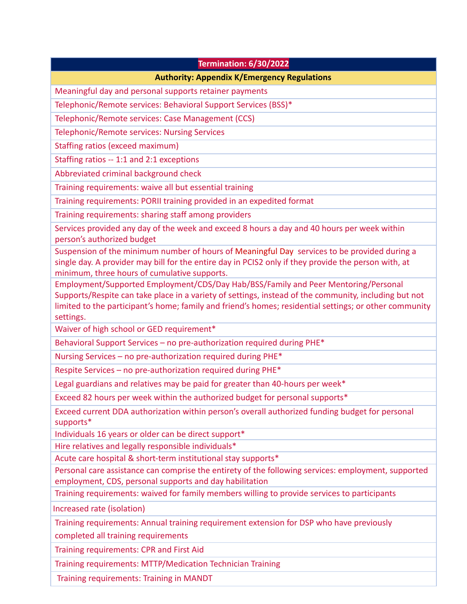| <b>Termination: 6/30/2022</b>                                                                                                                                                                                                                                                                                      |
|--------------------------------------------------------------------------------------------------------------------------------------------------------------------------------------------------------------------------------------------------------------------------------------------------------------------|
| <b>Authority: Appendix K/Emergency Regulations</b>                                                                                                                                                                                                                                                                 |
| Meaningful day and personal supports retainer payments                                                                                                                                                                                                                                                             |
| Telephonic/Remote services: Behavioral Support Services (BSS)*                                                                                                                                                                                                                                                     |
| Telephonic/Remote services: Case Management (CCS)                                                                                                                                                                                                                                                                  |
| <b>Telephonic/Remote services: Nursing Services</b>                                                                                                                                                                                                                                                                |
| Staffing ratios (exceed maximum)                                                                                                                                                                                                                                                                                   |
| Staffing ratios -- 1:1 and 2:1 exceptions                                                                                                                                                                                                                                                                          |
| Abbreviated criminal background check                                                                                                                                                                                                                                                                              |
| Training requirements: waive all but essential training                                                                                                                                                                                                                                                            |
| Training requirements: PORII training provided in an expedited format                                                                                                                                                                                                                                              |
| Training requirements: sharing staff among providers                                                                                                                                                                                                                                                               |
| Services provided any day of the week and exceed 8 hours a day and 40 hours per week within<br>person's authorized budget                                                                                                                                                                                          |
| Suspension of the minimum number of hours of Meaningful Day services to be provided during a<br>single day. A provider may bill for the entire day in PCIS2 only if they provide the person with, at<br>minimum, three hours of cumulative supports.                                                               |
| Employment/Supported Employment/CDS/Day Hab/BSS/Family and Peer Mentoring/Personal<br>Supports/Respite can take place in a variety of settings, instead of the community, including but not<br>limited to the participant's home; family and friend's homes; residential settings; or other community<br>settings. |
| Waiver of high school or GED requirement*                                                                                                                                                                                                                                                                          |
| Behavioral Support Services - no pre-authorization required during PHE*                                                                                                                                                                                                                                            |
| Nursing Services - no pre-authorization required during PHE*                                                                                                                                                                                                                                                       |
| Respite Services - no pre-authorization required during PHE*                                                                                                                                                                                                                                                       |
| Legal guardians and relatives may be paid for greater than 40-hours per week*                                                                                                                                                                                                                                      |
| Exceed 82 hours per week within the authorized budget for personal supports*                                                                                                                                                                                                                                       |
| Exceed current DDA authorization within person's overall authorized funding budget for personal<br>supports*                                                                                                                                                                                                       |
| Individuals 16 years or older can be direct support*                                                                                                                                                                                                                                                               |
| Hire relatives and legally responsible individuals*                                                                                                                                                                                                                                                                |
| Acute care hospital & short-term institutional stay supports*                                                                                                                                                                                                                                                      |
| Personal care assistance can comprise the entirety of the following services: employment, supported<br>employment, CDS, personal supports and day habilitation                                                                                                                                                     |
| Training requirements: waived for family members willing to provide services to participants                                                                                                                                                                                                                       |
| Increased rate (isolation)                                                                                                                                                                                                                                                                                         |
| Training requirements: Annual training requirement extension for DSP who have previously                                                                                                                                                                                                                           |
| completed all training requirements                                                                                                                                                                                                                                                                                |
| Training requirements: CPR and First Aid                                                                                                                                                                                                                                                                           |
| Training requirements: MTTP/Medication Technician Training                                                                                                                                                                                                                                                         |

Training requirements: Training in MANDT